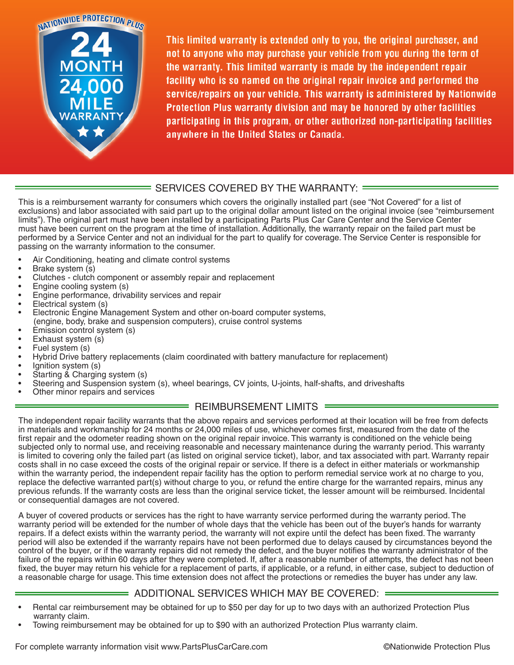

This limited warranty is extended only to you, the original purchaser, and not to anyone who may purchase your vehicle from you during the term of the warranty. This limited warranty is made by the independent repair facility who is so named on the original repair invoice and performed the service/repairs on your vehicle. This warranty is administered by Nationwide Protection Plus warranty division and may be honored by other facilities participating in this program, or other authorized non-participating facilities anywhere in the United States or Canada.

## $\overline{\phantom{a}}$  SERVICES COVERED BY THE WARRANTY:  $\overline{\phantom{a}}$

This is a reimbursement warranty for consumers which covers the originally installed part (see "Not Covered" for a list of exclusions) and labor associated with said part up to the original dollar amount listed on the original invoice (see "reimbursement limits"). The original part must have been installed by a participating Parts Plus Car Care Center and the Service Center must have been current on the program at the time of installation. Additionally, the warranty repair on the failed part must be performed by a Service Center and not an individual for the part to qualify for coverage. The Service Center is responsible for passing on the warranty information to the consumer.

- Air Conditioning, heating and climate control systems
- Brake system (s)
- Clutches clutch component or assembly repair and replacement
- Engine cooling system (s)
- Engine performance, drivability services and repair
- Electrical system (s)
- Electronic Engine Management System and other on-board computer systems, (engine, body, brake and suspension computers), cruise control systems
- Emission control system (s)
- Exhaust system (s)
- Fuel system (s)
- Hybrid Drive battery replacements (claim coordinated with battery manufacture for replacement)
- Ignition system (s)
- Starting & Charging system (s)
- Steering and Suspension system (s), wheel bearings, CV joints, U-joints, half-shafts, and driveshafts
- Other minor repairs and services

### REIMBURSEMENT LIMITS =

The independent repair facility warrants that the above repairs and services performed at their location will be free from defects in materials and workmanship for 24 months or 24,000 miles of use, whichever comes first, measured from the date of the first repair and the odometer reading shown on the original repair invoice. This warranty is conditioned on the vehicle being subjected only to normal use, and receiving reasonable and necessary maintenance during the warranty period. This warranty is limited to covering only the failed part (as listed on original service ticket), labor, and tax associated with part. Warranty repair costs shall in no case exceed the costs of the original repair or service. If there is a defect in either materials or workmanship within the warranty period, the independent repair facility has the option to perform remedial service work at no charge to you, replace the defective warranted part(s) without charge to you, or refund the entire charge for the warranted repairs, minus any previous refunds. If the warranty costs are less than the original service ticket, the lesser amount will be reimbursed. Incidental or consequential damages are not covered.

A buyer of covered products or services has the right to have warranty service performed during the warranty period. The warranty period will be extended for the number of whole days that the vehicle has been out of the buyer's hands for warranty repairs. If a defect exists within the warranty period, the warranty will not expire until the defect has been fixed. The warranty period will also be extended if the warranty repairs have not been performed due to delays caused by circumstances beyond the control of the buyer, or if the warranty repairs did not remedy the defect, and the buyer notifies the warranty administrator of the failure of the repairs within 60 days after they were completed. If, after a reasonable number of attempts, the defect has not been fixed, the buyer may return his vehicle for a replacement of parts, if applicable, or a refund, in either case, subject to deduction of a reasonable charge for usage. This time extension does not affect the protections or remedies the buyer has under any law.

### $\implies$  ADDITIONAL SERVICES WHICH MAY BE COVERED: =

- Rental car reimbursement may be obtained for up to \$50 per day for up to two days with an authorized Protection Plus warranty claim.
- Towing reimbursement may be obtained for up to \$90 with an authorized Protection Plus warranty claim.